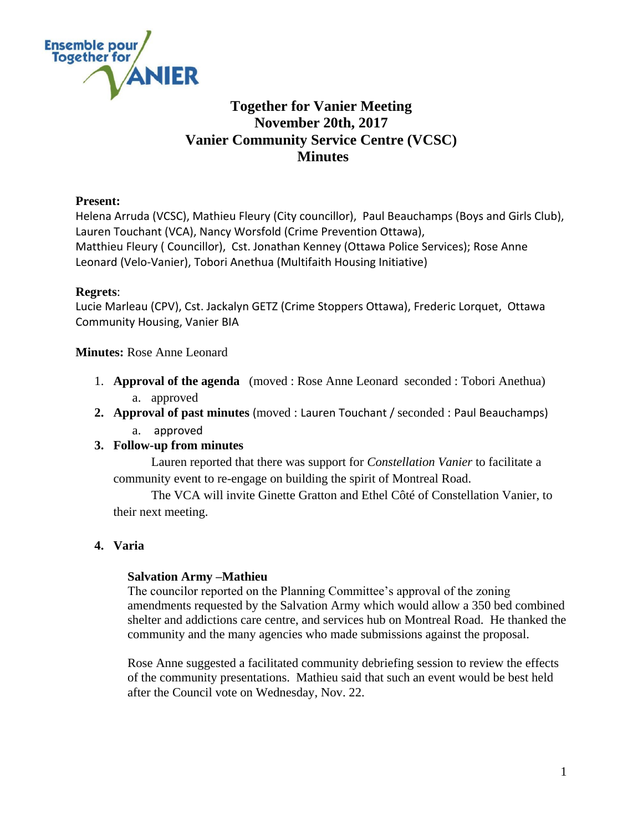

# **Together for Vanier Meeting November 20th, 2017 Vanier Community Service Centre (VCSC) Minutes**

## **Present:**

Helena Arruda (VCSC), Mathieu Fleury (City councillor), Paul Beauchamps (Boys and Girls Club), Lauren Touchant (VCA), Nancy Worsfold (Crime Prevention Ottawa), Matthieu Fleury ( Councillor), Cst. Jonathan Kenney (Ottawa Police Services); Rose Anne Leonard (Velo-Vanier), Tobori Anethua (Multifaith Housing Initiative)

## **Regrets**:

Lucie Marleau (CPV), Cst. Jackalyn GETZ (Crime Stoppers Ottawa), Frederic Lorquet, Ottawa Community Housing, Vanier BIA

**Minutes:** Rose Anne Leonard

- 1. **Approval of the agenda** (moved : Rose Anne Leonard seconded : Tobori Anethua) a. approved
- **2. Approval of past minutes** (moved : Lauren Touchant / seconded : Paul Beauchamps) a. approved

## **3. Follow-up from minutes**

Lauren reported that there was support for *Constellation Vanier* to facilitate a community event to re-engage on building the spirit of Montreal Road.

The VCA will invite Ginette Gratton and Ethel Côté of Constellation Vanier, to their next meeting.

## **4. Varia**

## **Salvation Army –Mathieu**

The councilor reported on the Planning Committee's approval of the zoning amendments requested by the Salvation Army which would allow a 350 bed combined shelter and addictions care centre, and services hub on Montreal Road. He thanked the community and the many agencies who made submissions against the proposal.

Rose Anne suggested a facilitated community debriefing session to review the effects of the community presentations. Mathieu said that such an event would be best held after the Council vote on Wednesday, Nov. 22.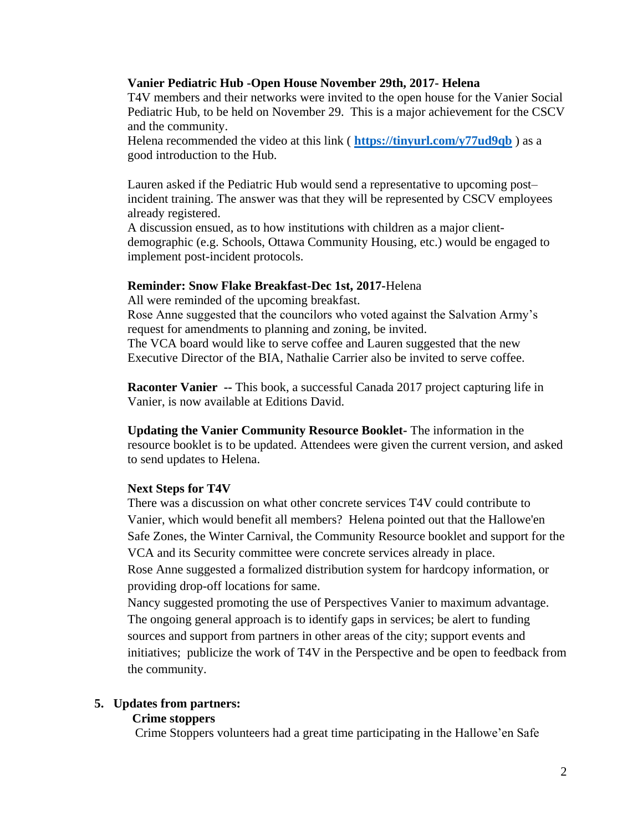#### **Vanier Pediatric Hub -Open House November 29th, 2017- Helena**

T4V members and their networks were invited to the open house for the Vanier Social Pediatric Hub, to be held on November 29. This is a major achievement for the CSCV and the community.

Helena recommended the video at this link ( **<https://tinyurl.com/y77ud9qb>** ) as a good introduction to the Hub.

Lauren asked if the Pediatric Hub would send a representative to upcoming post– incident training. The answer was that they will be represented by CSCV employees already registered.

A discussion ensued, as to how institutions with children as a major clientdemographic (e.g. Schools, Ottawa Community Housing, etc.) would be engaged to implement post-incident protocols.

#### **Reminder: Snow Flake Breakfast-Dec 1st, 2017-**Helena

All were reminded of the upcoming breakfast.

Rose Anne suggested that the councilors who voted against the Salvation Army's request for amendments to planning and zoning, be invited.

The VCA board would like to serve coffee and Lauren suggested that the new Executive Director of the BIA, Nathalie Carrier also be invited to serve coffee.

**Raconter Vanier --** This book, a successful Canada 2017 project capturing life in Vanier, is now available at Editions David.

**Updating the Vanier Community Resource Booklet-** The information in the resource booklet is to be updated. Attendees were given the current version, and asked to send updates to Helena.

#### **Next Steps for T4V**

There was a discussion on what other concrete services T4V could contribute to Vanier, which would benefit all members? Helena pointed out that the Hallowe'en Safe Zones, the Winter Carnival, the Community Resource booklet and support for the VCA and its Security committee were concrete services already in place. Rose Anne suggested a formalized distribution system for hardcopy information, or providing drop-off locations for same.

Nancy suggested promoting the use of Perspectives Vanier to maximum advantage. The ongoing general approach is to identify gaps in services; be alert to funding sources and support from partners in other areas of the city; support events and initiatives; publicize the work of T4V in the Perspective and be open to feedback from the community.

#### **5. Updates from partners:**

#### **Crime stoppers**

Crime Stoppers volunteers had a great time participating in the Hallowe'en Safe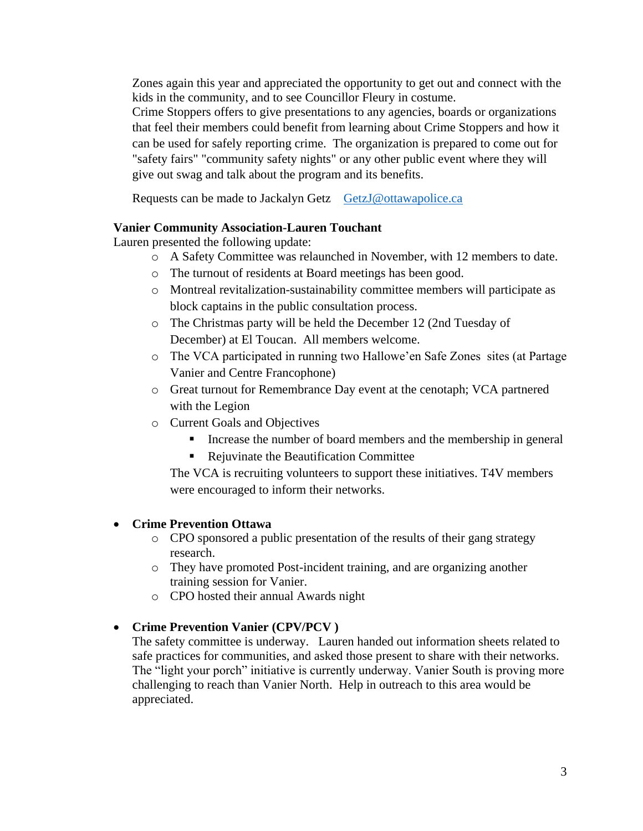Zones again this year and appreciated the opportunity to get out and connect with the kids in the community, and to see Councillor Fleury in costume.

Crime Stoppers offers to give presentations to any agencies, boards or organizations that feel their members could benefit from learning about Crime Stoppers and how it can be used for safely reporting crime. The organization is prepared to come out for "safety fairs" "community safety nights" or any other public event where they will give out swag and talk about the program and its benefits.

Requests can be made to Jackalyn Getz [GetzJ@ottawapolice.ca](mailto:GetzJ@ottawapolice.ca)

## **Vanier Community Association-Lauren Touchant**

Lauren presented the following update:

- o A Safety Committee was relaunched in November, with 12 members to date.
- o The turnout of residents at Board meetings has been good.
- o Montreal revitalization-sustainability committee members will participate as block captains in the public consultation process.
- o The Christmas party will be held the December 12 (2nd Tuesday of December) at El Toucan. All members welcome.
- o The VCA participated in running two Hallowe'en Safe Zones sites (at Partage Vanier and Centre Francophone)
- o Great turnout for Remembrance Day event at the cenotaph; VCA partnered with the Legion
- o Current Goals and Objectives
	- Increase the number of board members and the membership in general
	- Rejuvinate the Beautification Committee

The VCA is recruiting volunteers to support these initiatives. T4V members were encouraged to inform their networks.

## **Crime Prevention Ottawa**

- o CPO sponsored a public presentation of the results of their gang strategy research.
- o They have promoted Post-incident training, and are organizing another training session for Vanier.
- o CPO hosted their annual Awards night

## **Crime Prevention Vanier (CPV/PCV )**

The safety committee is underway. Lauren handed out information sheets related to safe practices for communities, and asked those present to share with their networks. The "light your porch" initiative is currently underway. Vanier South is proving more challenging to reach than Vanier North. Help in outreach to this area would be appreciated.